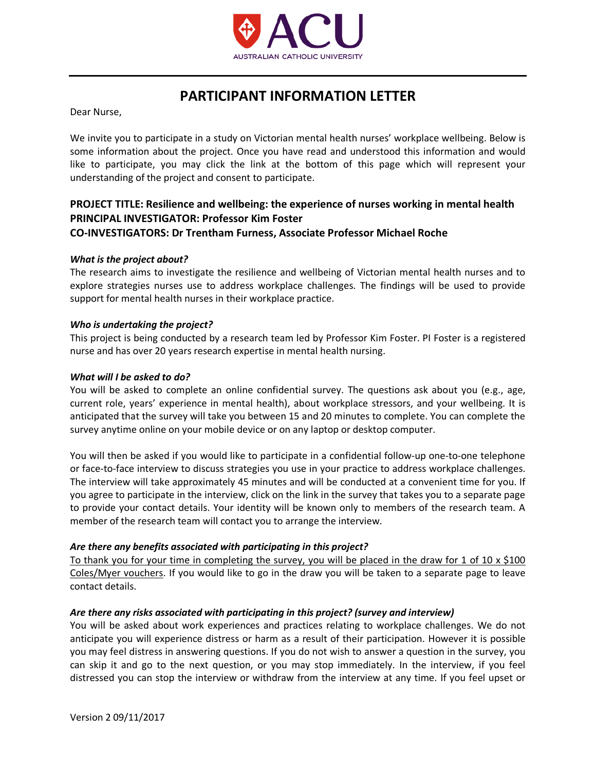

# **PARTICIPANT INFORMATION LETTER**

Dear Nurse,

We invite you to participate in a study on Victorian mental health nurses' workplace wellbeing. Below is some information about the project. Once you have read and understood this information and would like to participate, you may click the link at the bottom of this page which will represent your understanding of the project and consent to participate.

# **PROJECT TITLE: Resilience and wellbeing: the experience of nurses working in mental health PRINCIPAL INVESTIGATOR: Professor Kim Foster CO-INVESTIGATORS: Dr Trentham Furness, Associate Professor Michael Roche**

## *What is the project about?*

The research aims to investigate the resilience and wellbeing of Victorian mental health nurses and to explore strategies nurses use to address workplace challenges. The findings will be used to provide support for mental health nurses in their workplace practice.

#### *Who is undertaking the project?*

This project is being conducted by a research team led by Professor Kim Foster. PI Foster is a registered nurse and has over 20 years research expertise in mental health nursing.

#### *What will I be asked to do?*

You will be asked to complete an online confidential survey. The questions ask about you (e.g., age, current role, years' experience in mental health), about workplace stressors, and your wellbeing. It is anticipated that the survey will take you between 15 and 20 minutes to complete. You can complete the survey anytime online on your mobile device or on any laptop or desktop computer.

You will then be asked if you would like to participate in a confidential follow-up one-to-one telephone or face-to-face interview to discuss strategies you use in your practice to address workplace challenges. The interview will take approximately 45 minutes and will be conducted at a convenient time for you. If you agree to participate in the interview, click on the link in the survey that takes you to a separate page to provide your contact details. Your identity will be known only to members of the research team. A member of the research team will contact you to arrange the interview.

## *Are there any benefits associated with participating in this project?*

To thank you for your time in completing the survey, you will be placed in the draw for 1 of 10  $\times$  \$100 Coles/Myer vouchers. If you would like to go in the draw you will be taken to a separate page to leave contact details.

## *Are there any risks associated with participating in this project? (survey and interview)*

You will be asked about work experiences and practices relating to workplace challenges. We do not anticipate you will experience distress or harm as a result of their participation. However it is possible you may feel distress in answering questions. If you do not wish to answer a question in the survey, you can skip it and go to the next question, or you may stop immediately. In the interview, if you feel distressed you can stop the interview or withdraw from the interview at any time. If you feel upset or